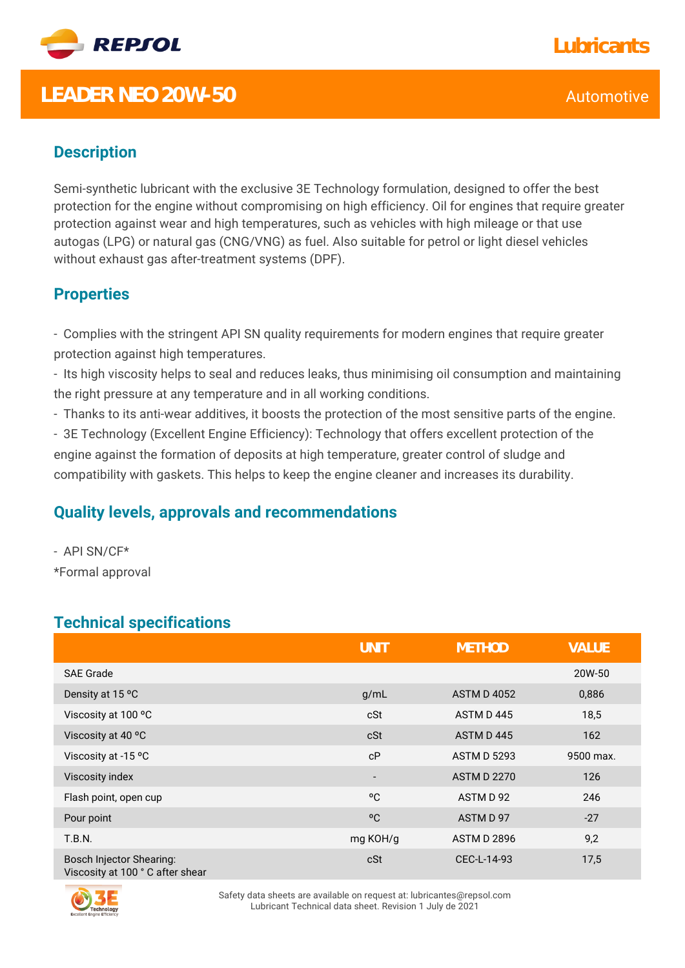

## **LEADER NEO 20W-50** Automotive

Semi-synthetic lubricant with the exclusive 3E Technology formulation, designed to offer the best protection for the engine without compromising on high efficiency. Oil for engines that require greater protection against wear and high temperatures, such as vehicles with high mileage or that use autogas (LPG) or natural gas (CNG/VNG) as fuel. Also suitable for petrol or light diesel vehicles without exhaust gas after-treatment systems (DPF).

### **Properties**

- Complies with the stringent API SN quality requirements for modern engines that require greater protection against high temperatures.

- Its high viscosity helps to seal and reduces leaks, thus minimising oil consumption and maintaining the right pressure at any temperature and in all working conditions.

- Thanks to its anti-wear additives, it boosts the protection of the most sensitive parts of the engine.

- 3E Technology (Excellent Engine Efficiency): Technology that offers excellent protection of the engine against the formation of deposits at high temperature, greater control of sludge and compatibility with gaskets. This helps to keep the engine cleaner and increases its durability.

#### **Quality levels, approvals and recommendations**

- API SN/CF\* \*Formal approval

### **Technical specifications**

|                                                                    | UNIT                     | <b>METHOD</b>      | <b>VALUE</b> |
|--------------------------------------------------------------------|--------------------------|--------------------|--------------|
| <b>SAE Grade</b>                                                   |                          |                    | 20W-50       |
| Density at 15 °C                                                   | g/mL                     | <b>ASTM D 4052</b> | 0,886        |
| Viscosity at 100 °C                                                | cSt                      | ASTM D445          | 18,5         |
| Viscosity at 40 °C                                                 | cSt                      | ASTM D445          | 162          |
| Viscosity at -15 °C                                                | cP                       | <b>ASTM D 5293</b> | 9500 max.    |
| Viscosity index                                                    | $\overline{\phantom{a}}$ | <b>ASTM D 2270</b> | 126          |
| Flash point, open cup                                              | °C                       | ASTM D 92          | 246          |
| Pour point                                                         | °C                       | ASTM D 97          | $-27$        |
| T.B.N.                                                             | mg KOH/g                 | <b>ASTM D 2896</b> | 9,2          |
| <b>Bosch Injector Shearing:</b><br>Viscosity at 100 °C after shear | cSt                      | CEC-L-14-93        | 17,5         |



Safety data sheets are available on request at: lubricantes@repsol.com Lubricant Technical data sheet. Revision 1 July de 2021